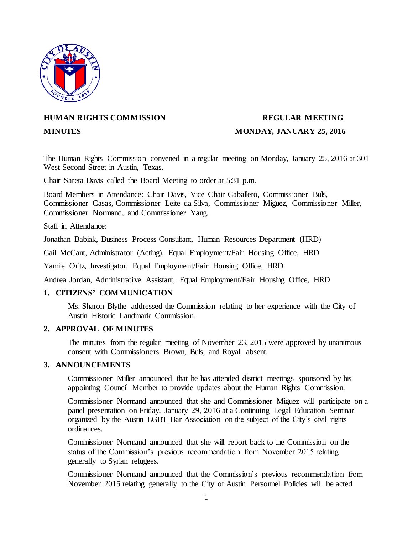

# **HUMAN RIGHTS COMMISSION REGULAR MEETING**

# **MINUTES MONDAY, JANUARY 25, 2016**

The Human Rights Commission convened in a regular meeting on Monday, January 25, 2016 at 301 West Second Street in Austin, Texas.

Chair Sareta Davis called the Board Meeting to order at 5:31 p.m.

Board Members in Attendance: Chair Davis, Vice Chair Caballero, Commissioner Buls, Commissioner Casas, Commissioner Leite da Silva, Commissioner Miguez, Commissioner Miller, Commissioner Normand, and Commissioner Yang.

Staff in Attendance:

Jonathan Babiak, Business Process Consultant, Human Resources Department (HRD)

Gail McCant, Administrator (Acting), Equal Employment/Fair Housing Office, HRD

Yamile Oritz, Investigator, Equal Employment/Fair Housing Office, HRD

Andrea Jordan, Administrative Assistant, Equal Employment/Fair Housing Office, HRD

# **1. CITIZENS' COMMUNICATION**

Ms. Sharon Blythe addressed the Commission relating to her experience with the City of Austin Historic Landmark Commission.

# **2. APPROVAL OF MINUTES**

The minutes from the regular meeting of November 23, 2015 were approved by unanimous consent with Commissioners Brown, Buls, and Royall absent.

#### **3. ANNOUNCEMENTS**

Commissioner Miller announced that he has attended district meetings sponsored by his appointing Council Member to provide updates about the Human Rights Commission.

Commissioner Normand announced that she and Commissioner Miguez will participate on a panel presentation on Friday, January 29, 2016 at a Continuing Legal Education Seminar organized by the Austin LGBT Bar Association on the subject of the City's civil rights ordinances.

Commissioner Normand announced that she will report back to the Commission on the status of the Commission's previous recommendation from November 2015 relating generally to Syrian refugees.

Commissioner Normand announced that the Commission's previous recommendation from November 2015 relating generally to the City of Austin Personnel Policies will be acted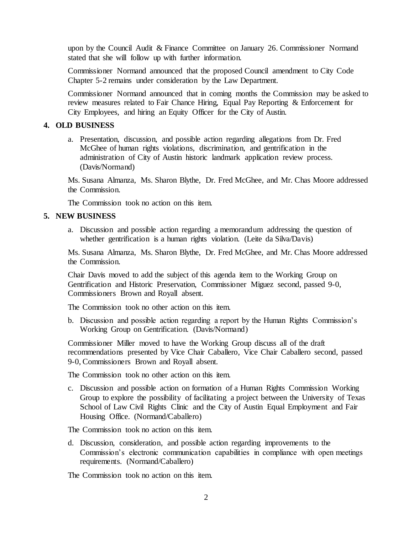upon by the Council Audit & Finance Committee on January 26. Commissioner Normand stated that she will follow up with further information.

Commissioner Normand announced that the proposed Council amendment to City Code Chapter 5-2 remains under consideration by the Law Department.

Commissioner Normand announced that in coming months the Commission may be asked to review measures related to Fair Chance Hiring, Equal Pay Reporting & Enforcement for City Employees, and hiring an Equity Officer for the City of Austin.

#### **4. OLD BUSINESS**

a. Presentation, discussion, and possible action regarding allegations from Dr. Fred McGhee of human rights violations, discrimination, and gentrification in the administration of City of Austin historic landmark application review process. (Davis/Normand)

Ms. Susana Almanza, Ms. Sharon Blythe, Dr. Fred McGhee, and Mr. Chas Moore addressed the Commission.

The Commission took no action on this item.

# **5. NEW BUSINESS**

a. Discussion and possible action regarding a memorandum addressing the question of whether gentrification is a human rights violation. (Leite da Silva/Davis)

Ms. Susana Almanza, Ms. Sharon Blythe, Dr. Fred McGhee, and Mr. Chas Moore addressed the Commission.

Chair Davis moved to add the subject of this agenda item to the Working Group on Gentrification and Historic Preservation, Commissioner Miguez second, passed 9-0, Commissioners Brown and Royall absent.

The Commission took no other action on this item.

b. Discussion and possible action regarding a report by the Human Rights Commission's Working Group on Gentrification. (Davis/Normand)

Commissioner Miller moved to have the Working Group discuss all of the draft recommendations presented by Vice Chair Caballero, Vice Chair Caballero second, passed 9-0, Commissioners Brown and Royall absent.

The Commission took no other action on this item.

c. Discussion and possible action on formation of a Human Rights Commission Working Group to explore the possibility of facilitating a project between the University of Texas School of Law Civil Rights Clinic and the City of Austin Equal Employment and Fair Housing Office. (Normand/Caballero)

The Commission took no action on this item.

d. Discussion, consideration, and possible action regarding improvements to the Commission's electronic communication capabilities in compliance with open meetings requirements. (Normand/Caballero)

The Commission took no action on this item.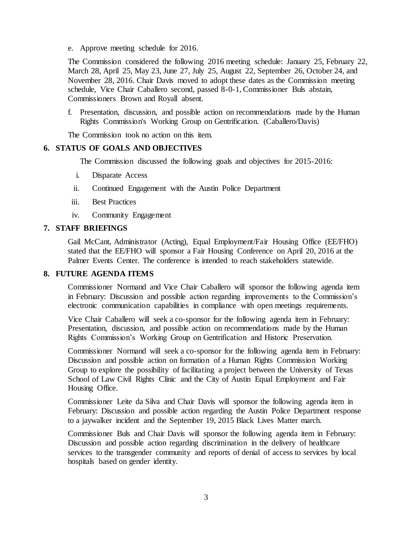e. Approve meeting schedule for 2016.

The Commission considered the following 2016 meeting schedule: January 25, February 22, March 28, April 25, May 23, June 27, July 25, August 22, September 26, October 24, and November 28, 2016. Chair Davis moved to adopt these dates as the Commission meeting schedule, Vice Chair Caballero second, passed 8-0-1, Commissioner Buls abstain, Commissioners Brown and Royall absent.

f. Presentation, discussion, and possible action on recommendations made by the Human Rights Commission's Working Group on Gentrification. (Caballero/Davis)

The Commission took no action on this item.

#### **6. STATUS OF GOALS AND OBJECTIVES**

The Commission discussed the following goals and objectives for 2015-2016:

- i. Disparate Access
- ii. Continued Engagement with the Austin Police Department
- iii. Best Practices
- iv. Community Engagement

#### **7. STAFF BRIEFINGS**

Gail McCant, Administrator (Acting), Equal Employment/Fair Housing Office (EE/FHO) stated that the EE/FHO will sponsor a Fair Housing Conference on April 20, 2016 at the Palmer Events Center. The conference is intended to reach stakeholders statewide.

#### **8. FUTURE AGENDA ITEMS**

Commissioner Normand and Vice Chair Caballero will sponsor the following agenda item in February: Discussion and possible action regarding improvements to the Commission's electronic communication capabilities in compliance with open meetings requirements.

Vice Chair Caballero will seek a co-sponsor for the following agenda item in February: Presentation, discussion, and possible action on recommendations made by the Human Rights Commission's Working Group on Gentrification and Historic Preservation.

Commissioner Normand will seek a co-sponsor for the following agenda item in February: Discussion and possible action on formation of a Human Rights Commission Working Group to explore the possibility of facilitating a project between the University of Texas School of Law Civil Rights Clinic and the City of Austin Equal Employment and Fair Housing Office.

Commissioner Leite da Silva and Chair Davis will sponsor the following agenda item in February: Discussion and possible action regarding the Austin Police Department response to a jaywalker incident and the September 19, 2015 Black Lives Matter march.

Commissioner Buls and Chair Davis will sponsor the following agenda item in February: Discussion and possible action regarding discrimination in the delivery of healthcare services to the transgender community and reports of denial of access to services by local hospitals based on gender identity.